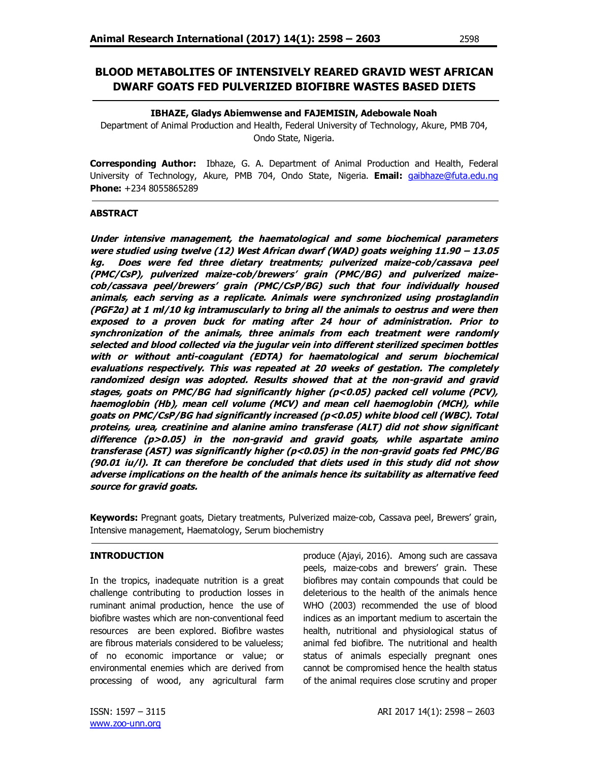# **BLOOD METABOLITES OF INTENSIVELY REARED GRAVID WEST AFRICAN DWARF GOATS FED PULVERIZED BIOFIBRE WASTES BASED DIETS**

### **IBHAZE, Gladys Abiemwense and FAJEMISIN, Adebowale Noah**

Department of Animal Production and Health, Federal University of Technology, Akure, PMB 704, Ondo State, Nigeria.

**Corresponding Author:** Ibhaze, G. A. Department of Animal Production and Health, Federal University of Technology, Akure, PMB 704, Ondo State, Nigeria. **Email:** gaibhaze@futa.edu.ng **Phone:** +234 8055865289

## **ABSTRACT**

**Under intensive management, the haematological and some biochemical parameters were studied using twelve (12) West African dwarf (WAD) goats weighing 11.90 – 13.05 kg. Does were fed three dietary treatments; pulverized maize-cob/cassava peel (PMC/CsP), pulverized maize-cob/brewers' grain (PMC/BG) and pulverized maizecob/cassava peel/brewers' grain (PMC/CsP/BG) such that four individually housed animals, each serving as a replicate. Animals were synchronized using prostaglandin (PGF2α) at 1 ml/10 kg intramuscularly to bring all the animals to oestrus and were then exposed to a proven buck for mating after 24 hour of administration. Prior to synchronization of the animals, three animals from each treatment were randomly selected and blood collected via the jugular vein into different sterilized specimen bottles with or without anti-coagulant (EDTA) for haematological and serum biochemical evaluations respectively. This was repeated at 20 weeks of gestation. The completely randomized design was adopted. Results showed that at the non-gravid and gravid stages, goats on PMC/BG had significantly higher (p<0.05) packed cell volume (PCV), haemoglobin (Hb), mean cell volume (MCV) and mean cell haemoglobin (MCH), while goats on PMC/CsP/BG had significantly increased (p<0.05) white blood cell (WBC). Total proteins, urea, creatinine and alanine amino transferase (ALT) did not show significant difference (p>0.05) in the non-gravid and gravid goats, while aspartate amino transferase (AST) was significantly higher (p<0.05) in the non-gravid goats fed PMC/BG (90.01 iu/l). It can therefore be concluded that diets used in this study did not show adverse implications on the health of the animals hence its suitability as alternative feed source for gravid goats.**

**Keywords:** Pregnant goats, Dietary treatments, Pulverized maize-cob, Cassava peel, Brewers' grain, Intensive management, Haematology, Serum biochemistry

## **INTRODUCTION**

In the tropics, inadequate nutrition is a great challenge contributing to production losses in ruminant animal production, hence the use of biofibre wastes which are non-conventional feed resources are been explored. Biofibre wastes are fibrous materials considered to be valueless; of no economic importance or value; or environmental enemies which are derived from processing of wood, any agricultural farm

produce (Ajayi, 2016). Among such are cassava peels, maize-cobs and brewers' grain. These biofibres may contain compounds that could be deleterious to the health of the animals hence WHO (2003) recommended the use of blood indices as an important medium to ascertain the health, nutritional and physiological status of animal fed biofibre. The nutritional and health status of animals especially pregnant ones cannot be compromised hence the health status of the animal requires close scrutiny and proper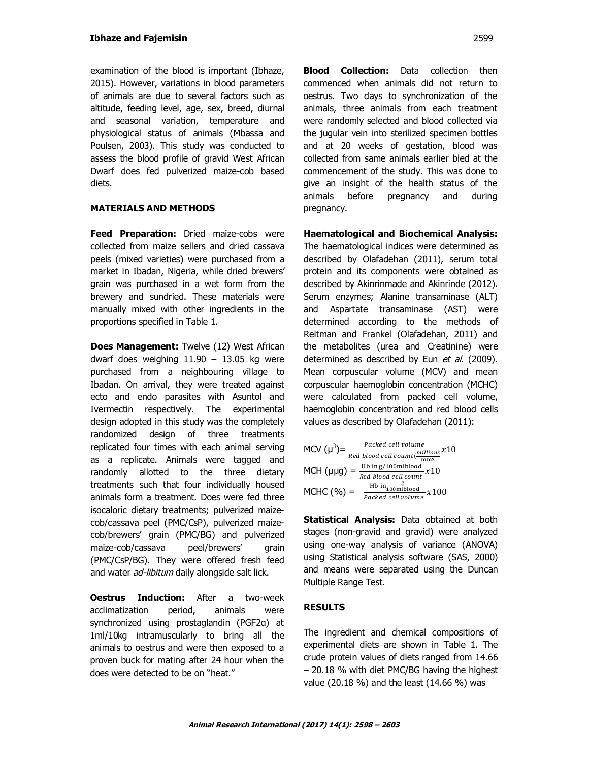examination of the blood is important (Ibhaze, 2015). However, variations in blood parameters of animals are due to several factors such as altitude, feeding level, age, sex, breed, diurnal and seasonal variation, temperature and physiological status of animals (Mbassa and Poulsen, 2003). This study was conducted to assess the blood profile of gravid West African Dwarf does fed pulverized maize-cob based diets.

## **MATERIALS AND METHODS**

**Feed Preparation:** Dried maize-cobs were collected from maize sellers and dried cassava peels (mixed varieties) were purchased from a market in Ibadan, Nigeria, while dried brewers' grain was purchased in a wet form from the brewery and sundried. These materials were manually mixed with other ingredients in the proportions specified in Table 1.

**Does Management:** Twelve (12) West African dwarf does weighing  $11.90 - 13.05$  kg were purchased from a neighbouring village to Ibadan. On arrival, they were treated against ecto and endo parasites with Asuntol and Ivermectin respectively. The experimental design adopted in this study was the completely randomized design of three treatments replicated four times with each animal serving as a replicate. Animals were tagged and randomly allotted to the three dietary treatments such that four individually housed animals form a treatment. Does were fed three isocaloric dietary treatments; pulverized maizecob/cassava peel (PMC/CsP), pulverized maizecob/brewers' grain (PMC/BG) and pulverized maize-cob/cassava peel/brewers' grain (PMC/CsP/BG). They were offered fresh feed and water *ad-libitum* daily alongside salt lick.

**Oestrus Induction:** After a two-week acclimatization period, animals were synchronized using prostaglandin (PGF2α) at 1ml/10kg intramuscularly to bring all the animals to oestrus and were then exposed to a proven buck for mating after 24 hour when the does were detected to be on "heat."

**Blood Collection:** Data collection then commenced when animals did not return to oestrus. Two days to synchronization of the animals, three animals from each treatment were randomly selected and blood collected via the jugular vein into sterilized specimen bottles and at 20 weeks of gestation, blood was collected from same animals earlier bled at the commencement of the study. This was done to give an insight of the health status of the animals before pregnancy and during pregnancy.

**Haematological and Biochemical Analysis:** The haematological indices were determined as described by Olafadehan (2011), serum total protein and its components were obtained as described by Akinrinmade and Akinrinde (2012). Serum enzymes; Alanine transaminase (ALT) and Aspartate transaminase (AST) were determined according to the methods of Reitman and Frankel (Olafadehan, 2011) and the metabolites (urea and Creatinine) were determined as described by Eun et al. (2009). Mean corpuscular volume (MCV) and mean corpuscular haemoglobin concentration (MCHC) were calculated from packed cell volume, haemoglobin concentration and red blood cells values as described by Olafadehan (2011):

| MCV $(\mu^3) = -$ | Packed cell volume                                                                                                |
|-------------------|-------------------------------------------------------------------------------------------------------------------|
|                   | Red blood cell coumt ( $\frac{millions}{mmin} x 10$                                                               |
|                   | MCH $(\mu \mu g) = \frac{Hb \text{ in } g/100 \text{ mlblood}}{Red \text{ blood cell count}} x10$                 |
|                   |                                                                                                                   |
| $MCHC (%) =$      | $\frac{\frac{\text{Hb in} - \frac{\text{g}}{100 \text{m}}}{\text{Boukend cell volume}}{Packet cell volume}} x100$ |
|                   |                                                                                                                   |

**Statistical Analysis:** Data obtained at both stages (non-gravid and gravid) were analyzed using one-way analysis of variance (ANOVA) using Statistical analysis software (SAS, 2000) and means were separated using the Duncan Multiple Range Test.

## **RESULTS**

The ingredient and chemical compositions of experimental diets are shown in Table 1. The crude protein values of diets ranged from 14.66 – 20.18 % with diet PMC/BG having the highest value (20.18 %) and the least (14.66 %) was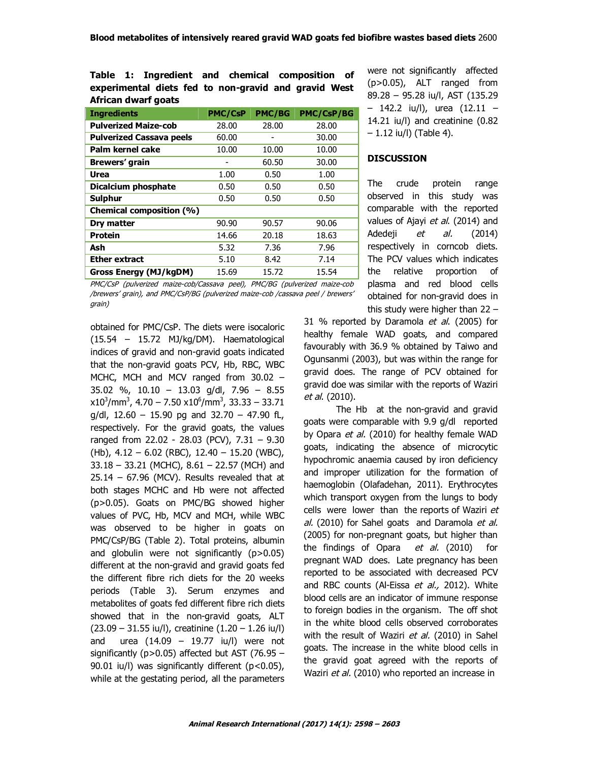|                     |  |  | Table 1: Ingredient and chemical composition of      |  |  |
|---------------------|--|--|------------------------------------------------------|--|--|
|                     |  |  | experimental diets fed to non-gravid and gravid West |  |  |
| African dwarf goats |  |  |                                                      |  |  |

| <b>Ingredients</b>              | <b>PMC/CsP</b> | <b>PMC/BG</b> | <b>PMC/CsP/BG</b> |
|---------------------------------|----------------|---------------|-------------------|
| <b>Pulverized Maize-cob</b>     | 28.00          | 28.00         | 28.00             |
| <b>Pulverized Cassava peels</b> | 60.00          |               | 30.00             |
| Palm kernel cake                | 10.00          | 10.00         | 10.00             |
| Brewers' grain                  |                | 60.50         | 30.00             |
| Urea                            | 1.00           | 0.50          | 1.00              |
| Dicalcium phosphate             | 0.50           | 0.50          | 0.50              |
| Sulphur                         | 0.50           | 0.50          | 0.50              |
| Chemical composition (%)        |                |               |                   |
| Dry matter                      | 90.90          | 90.57         | 90.06             |
| Protein                         | 14.66          | 20.18         | 18.63             |
| Ash                             | 5.32           | 7.36          | 7.96              |
| Ether extract                   | 5.10           | 8.42          | 7.14              |
| Gross Energy (MJ/kgDM)          | 15.69          | 15.72         | 15.54             |

PMC/CsP (pulverized maize-cob/Cassava peel), PMC/BG (pulverized maize-cob /brewers' grain), and PMC/CsP/BG (pulverized maize-cob /cassava peel / brewers' grain)

obtained for PMC/CsP. The diets were isocaloric (15.54 – 15.72 MJ/kg/DM). Haematological indices of gravid and non-gravid goats indicated that the non-gravid goats PCV, Hb, RBC, WBC MCHC, MCH and MCV ranged from 30.02 – 35.02 %, 10.10 – 13.03 g/dl, 7.96 – 8.55  $\text{x}10^3/\text{mm}^3$ , 4.70 – 7.50  $\text{x}10^6/\text{mm}^3$ , 33.33 – 33.71  $g/dl$ , 12.60 – 15.90 pg and 32.70 – 47.90 fL, respectively. For the gravid goats, the values ranged from 22.02 - 28.03 (PCV), 7.31 – 9.30 (Hb), 4.12 – 6.02 (RBC), 12.40 – 15.20 (WBC), 33.18 – 33.21 (MCHC), 8.61 – 22.57 (MCH) and  $25.14 - 67.96$  (MCV). Results revealed that at both stages MCHC and Hb were not affected (p>0.05). Goats on PMC/BG showed higher values of PVC, Hb, MCV and MCH, while WBC was observed to be higher in goats on PMC/CsP/BG (Table 2). Total proteins, albumin and globulin were not significantly (p>0.05) different at the non-gravid and gravid goats fed the different fibre rich diets for the 20 weeks periods (Table 3). Serum enzymes and metabolites of goats fed different fibre rich diets showed that in the non-gravid goats, ALT (23.09 – 31.55 iu/l), creatinine (1.20 – 1.26 iu/l) and urea (14.09 – 19.77 iu/l) were not significantly (p>0.05) affected but AST (76.95 – 90.01 iu/l) was significantly different (p<0.05), while at the gestating period, all the parameters were not significantly affected (p>0.05), ALT ranged from 89.28 – 95.28 iu/l, AST (135.29 – 142.2 iu/l), urea (12.11 – 14.21 iu/l) and creatinine (0.82  $-1.12$  iu/l) (Table 4).

### **DISCUSSION**

The crude protein range observed in this study was comparable with the reported values of Ajayi et al. (2014) and Adedeji *et al.* (2014) respectively in corncob diets. The PCV values which indicates the relative proportion of plasma and red blood cells obtained for non-gravid does in this study were higher than 22 –

31 % reported by Daramola et al. (2005) for healthy female WAD goats, and compared favourably with 36.9 % obtained by Taiwo and Ogunsanmi (2003), but was within the range for gravid does. The range of PCV obtained for gravid doe was similar with the reports of Waziri et al. (2010).

The Hb at the non-gravid and gravid goats were comparable with 9.9 g/dl reported by Opara et al. (2010) for healthy female WAD goats, indicating the absence of microcytic hypochromic anaemia caused by iron deficiency and improper utilization for the formation of haemoglobin (Olafadehan, 2011). Erythrocytes which transport oxygen from the lungs to body cells were lower than the reports of Waziri et al. (2010) for Sahel goats and Daramola et al. (2005) for non-pregnant goats, but higher than the findings of Opara *et al.* (2010) for pregnant WAD does. Late pregnancy has been reported to be associated with decreased PCV and RBC counts (Al-Eissa et al., 2012). White blood cells are an indicator of immune response to foreign bodies in the organism. The off shot in the white blood cells observed corroborates with the result of Waziri et al. (2010) in Sahel goats. The increase in the white blood cells in the gravid goat agreed with the reports of Waziri *et al.* (2010) who reported an increase in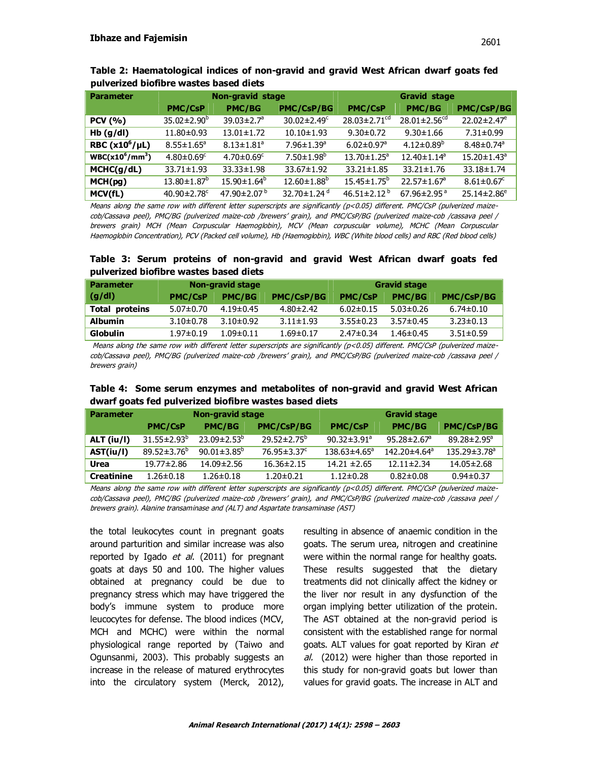| <b>Parameter</b>    |                                | <b>Non-gravid stage</b>      |                               | <b>Gravid stage</b>            |                                |                               |
|---------------------|--------------------------------|------------------------------|-------------------------------|--------------------------------|--------------------------------|-------------------------------|
|                     | <b>PMC/CsP</b>                 | <b>PMC/BG</b>                | <b>PMC/CsP/BG</b>             | <b>PMC/CsP</b>                 | <b>PMC/BG</b>                  | PMC/CsP/BG                    |
| <b>PCV</b> (%)      | $35.02 \pm 2.90^b$             | 39.03 $\pm$ 2.7 <sup>a</sup> | $30.02 \pm 2.49$ <sup>c</sup> | $28.03 \pm 2.71$ <sup>cd</sup> | $28.01 \pm 2.56$ <sup>cd</sup> | $22.02 \pm 2.47$ <sup>e</sup> |
| Hb(g/dl)            | $11.80 \pm 0.93$               | $13.01 \pm 1.72$             | $10.10 \pm 1.93$              | $9.30 \pm 0.72$                | $9.30 \pm 1.66$                | $7.31 \pm 0.99$               |
| RBC $(x10^6/\mu L)$ | $8.55 \pm 1.65^{\circ}$        | $8.13 \pm 1.81$ <sup>a</sup> | $7.96 \pm 1.39$ <sup>a</sup>  | $6.02 \pm 0.97$ <sup>a</sup>   | $4.12 \pm 0.89^b$              | $8.48 \pm 0.74$ <sup>a</sup>  |
| $WBC(x10^6/mm^3)$   | $4.80 \pm 0.69$ <sup>c</sup>   | $4.70 \pm 0.69$ <sup>c</sup> | $7.50 \pm 1.98$ <sup>b</sup>  | $13.70 \pm 1.25$ <sup>a</sup>  | $12.40 \pm 1.14^a$             | $15.20 \pm 1.43$ <sup>a</sup> |
| MCHC(g/dL)          | $33.71 \pm 1.93$               | $33.33 \pm 1.98$             | $33.67 \pm 1.92$              | $33.21 \pm 1.85$               | $33.21 \pm 1.76$               | $33.18 \pm 1.74$              |
| MCH(pg)             | $13.80 \pm 1.87^b$             | $15.90 \pm 1.64^b$           | $12.60 \pm 1.88^b$            | $15.45 \pm 1.75^b$             | $22.57 \pm 1.67$ <sup>a</sup>  | $8.61 \pm 0.67$ <sup>c</sup>  |
| MCV(fL)             | 40.90 $\pm$ 2.78 $\textdegree$ | 47.90 $\pm$ 2.07 $^{\rm b}$  | 32.70 $\pm$ 1.24 $d$          | $46.51 \pm 2.12^{b}$           | 67.96 $\pm$ 2.95 $^{\circ}$    | $25.14 \pm 2.86^e$            |

**Table 2: Haematological indices of non-gravid and gravid West African dwarf goats fed pulverized biofibre wastes based diets** 

Means along the same row with different letter superscripts are significantly (p<0.05) different. PMC/CsP (pulverized maizecob/Cassava peel), PMC/BG (pulverized maize-cob /brewers' grain), and PMC/CsP/BG (pulverized maize-cob /cassava peel / brewers grain) MCH (Mean Corpuscular Haemoglobin), MCV (Mean corpuscular volume), MCHC (Mean Corpuscular Haemoglobin Concentration), PCV (Packed cell volume), Hb (Haemoglobin), WBC (White blood cells) and RBC (Red blood cells)

**Table 3: Serum proteins of non-gravid and gravid West African dwarf goats fed pulverized biofibre wastes based diets** 

| <b>Parameter</b> |                 | Non-gravid stage |                   | <b>Gravid stage</b> |                 |                   |
|------------------|-----------------|------------------|-------------------|---------------------|-----------------|-------------------|
| (g/dl)           | <b>PMC/CsP</b>  | <b>PMC/BG</b>    | <b>PMC/CsP/BG</b> | <b>PMC/CsP</b>      | <b>PMC/BG</b>   | <b>PMC/CsP/BG</b> |
| Total proteins   | $5.07 \pm 0.70$ | $4.19 \pm 0.45$  | $4.80 \pm 2.42$   | $6.02 \pm 0.15$     | $5.03 \pm 0.26$ | $6.74 \pm 0.10$   |
| <b>Albumin</b>   | $3.10 \pm 0.78$ | $3.10 \pm 0.92$  | $3.11 \pm 1.93$   | $3.55 \pm 0.23$     | $3.57 \pm 0.45$ | $3.23 \pm 0.13$   |
| <b>Globulin</b>  | $1.97 \pm 0.19$ | $1.09 \pm 0.11$  | $1.69 \pm 0.17$   | $2.47 \pm 0.34$     | 1.46±0.45       | $3.51 \pm 0.59$   |

Means along the same row with different letter superscripts are significantly (p<0.05) different. PMC/CsP (pulverized maizecob/Cassava peel), PMC/BG (pulverized maize-cob /brewers' grain), and PMC/CsP/BG (pulverized maize-cob /cassava peel / brewers grain)

|                                                        |  | Table 4: Some serum enzymes and metabolites of non-gravid and gravid West African |  |  |
|--------------------------------------------------------|--|-----------------------------------------------------------------------------------|--|--|
| dwarf goats fed pulverized biofibre wastes based diets |  |                                                                                   |  |  |

| <b>Parameter</b>  |                    | Non-gravid stage              |                               | <b>Gravid stage</b>       |                                |                                |  |
|-------------------|--------------------|-------------------------------|-------------------------------|---------------------------|--------------------------------|--------------------------------|--|
|                   | <b>PMC/CsP</b>     | <b>PMC/BG</b>                 | <b>PMC/CsP/BG</b>             | <b>PMC/CsP</b>            | <b>PMC/BG</b>                  | <b>PMC/CsP/BG</b>              |  |
| $ALT$ (iu/l)      | $31.55 \pm 2.93^b$ | $23.09 \pm 2.53^{b}$          | $29.52 \pm 2.75^{\circ}$      | $90.32 \pm 3.91^a$        | $95.28 \pm 2.67$ <sup>a</sup>  | $89.28 \pm 2.95^{\circ}$       |  |
| AST(iu/l)         | $89.52 \pm 3.76^b$ | 90.01 $\pm$ 3.85 <sup>b</sup> | $76.95 \pm 3.37$ <sup>c</sup> | $138.63 \pm 4.65^{\circ}$ | $142.20 \pm 4.64$ <sup>a</sup> | $135.29 \pm 3.78$ <sup>a</sup> |  |
| Urea              | 19.77±2.86         | 14.09±2.56                    | $16.36 \pm 2.15$              | $14.21 \pm 2.65$          | $12.11 \pm 2.34$               | $14.05 \pm 2.68$               |  |
| <b>Creatinine</b> | $1.26 \pm 0.18$    | $1.26 \pm 0.18$               | $1.20 \pm 0.21$               | $1.12 \pm 0.28$           | $0.82 \pm 0.08$                | $0.94 \pm 0.37$                |  |

Means along the same row with different letter superscripts are significantly (p<0.05) different. PMC/CsP (pulverized maizecob/Cassava peel), PMC/BG (pulverized maize-cob /brewers' grain), and PMC/CsP/BG (pulverized maize-cob /cassava peel / brewers grain). Alanine transaminase and (ALT) and Aspartate transaminase (AST)

the total leukocytes count in pregnant goats around parturition and similar increase was also reported by Igado  $et$  al. (2011) for pregnant goats at days 50 and 100. The higher values obtained at pregnancy could be due to pregnancy stress which may have triggered the body's immune system to produce more leucocytes for defense. The blood indices (MCV, MCH and MCHC) were within the normal physiological range reported by (Taiwo and Ogunsanmi, 2003). This probably suggests an increase in the release of matured erythrocytes into the circulatory system (Merck, 2012), resulting in absence of anaemic condition in the goats. The serum urea, nitrogen and creatinine were within the normal range for healthy goats. These results suggested that the dietary treatments did not clinically affect the kidney or the liver nor result in any dysfunction of the organ implying better utilization of the protein. The AST obtained at the non-gravid period is consistent with the established range for normal goats. ALT values for goat reported by Kiran et al. (2012) were higher than those reported in this study for non-gravid goats but lower than values for gravid goats. The increase in ALT and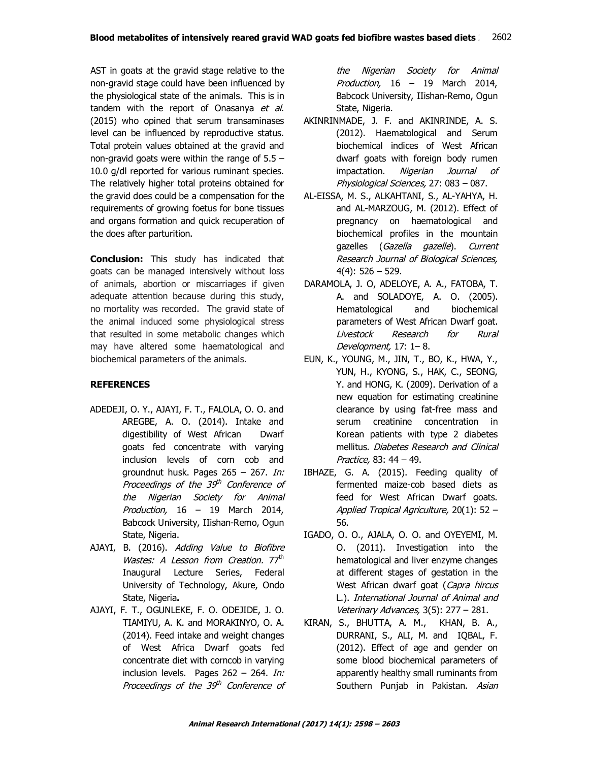AST in goats at the gravid stage relative to the non-gravid stage could have been influenced by the physiological state of the animals. This is in tandem with the report of Onasanya et al. (2015) who opined that serum transaminases level can be influenced by reproductive status. Total protein values obtained at the gravid and non-gravid goats were within the range of  $5.5 -$ 10.0 g/dl reported for various ruminant species. The relatively higher total proteins obtained for the gravid does could be a compensation for the requirements of growing foetus for bone tissues and organs formation and quick recuperation of the does after parturition.

**Conclusion:** This study has indicated that goats can be managed intensively without loss of animals, abortion or miscarriages if given adequate attention because during this study, no mortality was recorded. The gravid state of the animal induced some physiological stress that resulted in some metabolic changes which may have altered some haematological and biochemical parameters of the animals.

## **REFERENCES**

- ADEDEJI, O. Y., AJAYI, F. T., FALOLA, O. O. and AREGBE, A. O. (2014). Intake and digestibility of West African Dwarf goats fed concentrate with varying inclusion levels of corn cob and groundnut husk. Pages 265 – 267. In: Proceedings of the 39th Conference of the Nigerian Society for Animal Production, 16 – 19 March 2014, Babcock University, IIishan-Remo, Ogun State, Nigeria.
- AJAYI, B. (2016). Adding Value to Biofibre Wastes: A Lesson from Creation. 77<sup>th</sup> Inaugural Lecture Series, Federal University of Technology, Akure, Ondo State, Nigeria**.**
- AJAYI, F. T., OGUNLEKE, F. O. ODEJIDE, J. O. TIAMIYU, A. K. and MORAKINYO, O. A. (2014). Feed intake and weight changes of West Africa Dwarf goats fed concentrate diet with corncob in varying inclusion levels. Pages 262 – 264. In: Proceedings of the 39th Conference of

the Nigerian Society for Animal Production, 16 – 19 March 2014, Babcock University, IIishan-Remo, Ogun State, Nigeria.

- AKINRINMADE, J. F. and AKINRINDE, A. S. (2012). Haematological and Serum biochemical indices of West African dwarf goats with foreign body rumen impactation. Nigerian Journal of Physiological Sciences, 27: 083 – 087.
- AL-EISSA, M. S., ALKAHTANI, S., AL-YAHYA, H. and AL-MARZOUG, M. (2012). Effect of pregnancy on haematological and biochemical profiles in the mountain gazelles (Gazella gazelle). Current Research Journal of Biological Sciences, 4(4): 526 – 529.
- DARAMOLA, J. O, ADELOYE, A. A., FATOBA, T. A. and SOLADOYE, A. O. (2005). Hematological and biochemical parameters of West African Dwarf goat. Livestock Research for Rural Development, 17: 1– 8.
- EUN, K., YOUNG, M., JIN, T., BO, K., HWA, Y., YUN, H., KYONG, S., HAK, C., SEONG, Y. and HONG, K. (2009). Derivation of a new equation for estimating creatinine clearance by using fat-free mass and serum creatinine concentration in Korean patients with type 2 diabetes mellitus. Diabetes Research and Clinical Practice, 83: 44 – 49.
- IBHAZE, G. A. (2015). Feeding quality of fermented maize-cob based diets as feed for West African Dwarf goats. Applied Tropical Agriculture, 20(1): 52 – 56.
- IGADO, O. O., AJALA, O. O. and OYEYEMI, M. O. (2011). Investigation into the hematological and liver enzyme changes at different stages of gestation in the West African dwarf goat (Capra hircus L.). International Journal of Animal and Veterinary Advances, 3(5): 277 – 281.
- KIRAN, S., BHUTTA, A. M., KHAN, B. A., DURRANI, S., ALI, M. and IQBAL, F. (2012). Effect of age and gender on some blood biochemical parameters of apparently healthy small ruminants from Southern Punjab in Pakistan. Asian